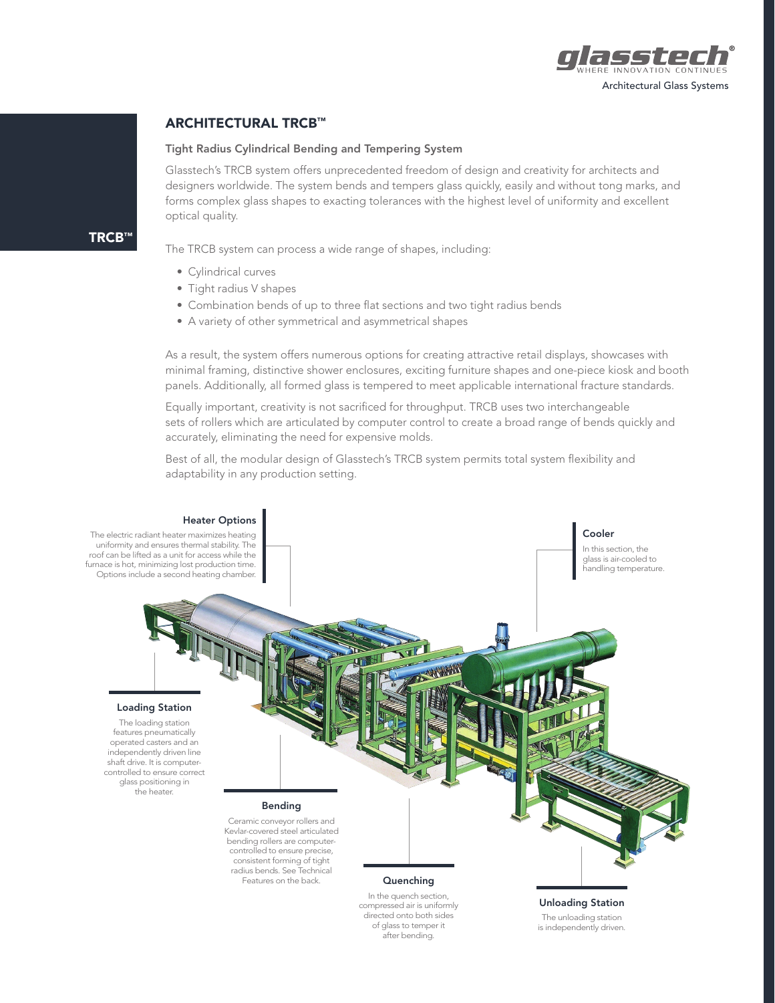

## ARCHITECTURAL TRCB™

#### Tight Radius Cylindrical Bending and Tempering System

Glasstech's TRCB system offers unprecedented freedom of design and creativity for architects and designers worldwide. The system bends and tempers glass quickly, easily and without tong marks, and forms complex glass shapes to exacting tolerances with the highest level of uniformity and excellent optical quality.

TRCB™

The TRCB system can process a wide range of shapes, including:

- Cylindrical curves
- Tight radius V shapes
- Combination bends of up to three flat sections and two tight radius bends
- A variety of other symmetrical and asymmetrical shapes

As a result, the system offers numerous options for creating attractive retail displays, showcases with minimal framing, distinctive shower enclosures, exciting furniture shapes and one-piece kiosk and booth panels. Additionally, all formed glass is tempered to meet applicable international fracture standards.

Equally important, creativity is not sacrificed for throughput. TRCB uses two interchangeable sets of rollers which are articulated by computer control to create a broad range of bends quickly and accurately, eliminating the need for expensive molds.

Best of all, the modular design of Glasstech's TRCB system permits total system flexibility and adaptability in any production setting.